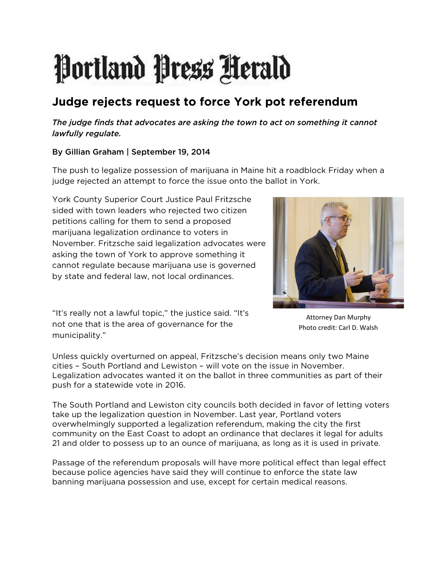## Portland Press Herald

## **Judge rejects request to force York pot referendum**

## *The judge finds that advocates are asking the town to act on something it cannot lawfully regulate.*

## By Gillian Graham | September 19, 2014

The push to legalize possession of marijuana in Maine hit a roadblock Friday when a judge rejected an attempt to force the issue onto the ballot in York.

York County Superior Court Justice Paul Fritzsche sided with town leaders who rejected two citizen petitions calling for them to send a proposed marijuana legalization ordinance to voters in November. Fritzsche said legalization advocates were asking the town of York to approve something it cannot regulate because marijuana use is governed by state and federal law, not local ordinances.



"It's really not a lawful topic," the justice said. "It's not one that is the area of governance for the municipality."

Attorney Dan Murphy Photo credit: Carl D. Walsh

Unless quickly overturned on appeal, Fritzsche's decision means only two Maine cities – South Portland and Lewiston – will vote on the issue in November. Legalization advocates wanted it on the ballot in three communities as part of their push for a statewide vote in 2016.

The South Portland and Lewiston city councils both decided in favor of letting voters take up the legalization question in November. Last year, Portland voters overwhelmingly supported a legalization referendum, making the city the first community on the East Coast to adopt an ordinance that declares it legal for adults 21 and older to possess up to an ounce of marijuana, as long as it is used in private.

Passage of the referendum proposals will have more political effect than legal effect because police agencies have said they will continue to enforce the state law banning marijuana possession and use, except for certain medical reasons.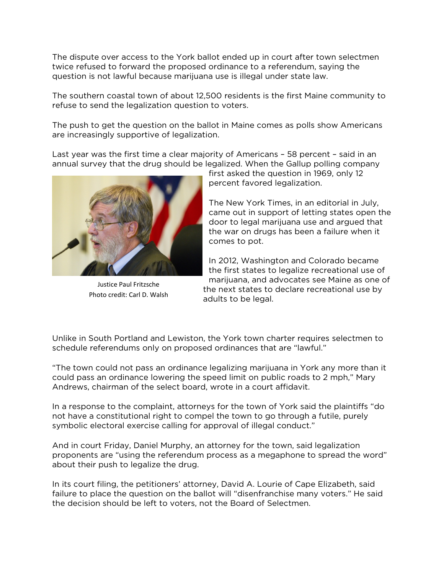The dispute over access to the York ballot ended up in court after town selectmen twice refused to forward the proposed ordinance to a referendum, saying the question is not lawful because marijuana use is illegal under state law.

The southern coastal town of about 12,500 residents is the first Maine community to refuse to send the legalization question to voters.

The push to get the question on the ballot in Maine comes as polls show Americans are increasingly supportive of legalization.

Last year was the first time a clear majority of Americans – 58 percent – said in an annual survey that the drug should be legalized. When the Gallup polling company



Justice Paul Fritzsche Photo credit: Carl D. Walsh

first asked the question in 1969, only 12 percent favored legalization.

The New York Times, in an editorial in July, came out in support of letting states open the door to legal marijuana use and argued that the war on drugs has been a failure when it comes to pot.

In 2012, Washington and Colorado became the first states to legalize recreational use of marijuana, and advocates see Maine as one of the next states to declare recreational use by adults to be legal.

Unlike in South Portland and Lewiston, the York town charter requires selectmen to schedule referendums only on proposed ordinances that are "lawful."

"The town could not pass an ordinance legalizing marijuana in York any more than it could pass an ordinance lowering the speed limit on public roads to 2 mph," Mary Andrews, chairman of the select board, wrote in a court affidavit.

In a response to the complaint, attorneys for the town of York said the plaintiffs "do not have a constitutional right to compel the town to go through a futile, purely symbolic electoral exercise calling for approval of illegal conduct."

And in court Friday, Daniel Murphy, an attorney for the town, said legalization proponents are "using the referendum process as a megaphone to spread the word" about their push to legalize the drug.

In its court filing, the petitioners' attorney, David A. Lourie of Cape Elizabeth, said failure to place the question on the ballot will "disenfranchise many voters." He said the decision should be left to voters, not the Board of Selectmen.